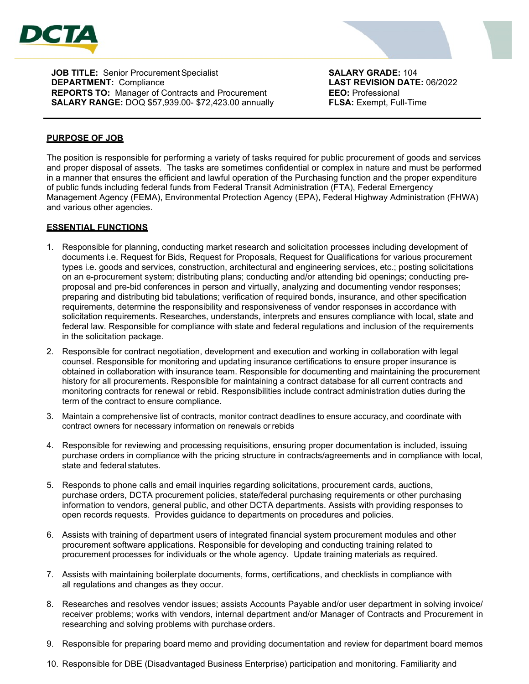

**JOB TITLE:** Senior Procurement Specialist **SALARY GRADE:** 104<br> **DEPARTMENT:** Compliance **SALARY CONSTRANT LAST REVISION DATE:** 06/2022 **DEPARTMENT: Compliance REPORTS TO:** Manager of Contracts and Procurement **EEO:** Professional **SALARY RANGE:** DOQ \$57,939.00- \$72,423.00 annually **FLSA:** Exempt, Full-Time

## **PURPOSE OF JOB**

The position is responsible for performing a variety of tasks required for public procurement of goods and services and proper disposal of assets. The tasks are sometimes confidential or complex in nature and must be performed in a manner that ensures the efficient and lawful operation of the Purchasing function and the proper expenditure of public funds including federal funds from Federal Transit Administration (FTA), Federal Emergency Management Agency (FEMA), Environmental Protection Agency (EPA), Federal Highway Administration (FHWA) and various other agencies.

### **ESSENTIAL FUNCTIONS**

- 1. Responsible for planning, conducting market research and solicitation processes including development of documents i.e. Request for Bids, Request for Proposals, Request for Qualifications for various procurement types i.e. goods and services, construction, architectural and engineering services, etc.; posting solicitations on an e-procurement system; distributing plans; conducting and/or attending bid openings; conducting preproposal and pre-bid conferences in person and virtually, analyzing and documenting vendor responses; preparing and distributing bid tabulations; verification of required bonds, insurance, and other specification requirements, determine the responsibility and responsiveness of vendor responses in accordance with solicitation requirements. Researches, understands, interprets and ensures compliance with local, state and federal law. Responsible for compliance with state and federal regulations and inclusion of the requirements in the solicitation package.
- 2. Responsible for contract negotiation, development and execution and working in collaboration with legal counsel. Responsible for monitoring and updating insurance certifications to ensure proper insurance is obtained in collaboration with insurance team. Responsible for documenting and maintaining the procurement history for all procurements. Responsible for maintaining a contract database for all current contracts and monitoring contracts for renewal or rebid. Responsibilities include contract administration duties during the term of the contract to ensure compliance.
- 3. Maintain a comprehensive list of contracts, monitor contract deadlines to ensure accuracy, and coordinate with contract owners for necessary information on renewals orrebids
- 4. Responsible for reviewing and processing requisitions, ensuring proper documentation is included, issuing purchase orders in compliance with the pricing structure in contracts/agreements and in compliance with local, state and federal statutes.
- 5. Responds to phone calls and email inquiries regarding solicitations, procurement cards, auctions, purchase orders, DCTA procurement policies, state/federal purchasing requirements or other purchasing information to vendors, general public, and other DCTA departments. Assists with providing responses to open records requests. Provides guidance to departments on procedures and policies.
- 6. Assists with training of department users of integrated financial system procurement modules and other procurement software applications. Responsible for developing and conducting training related to procurement processes for individuals or the whole agency. Update training materials as required.
- 7. Assists with maintaining boilerplate documents, forms, certifications, and checklists in compliance with all regulations and changes as they occur.
- 8. Researches and resolves vendor issues; assists Accounts Payable and/or user department in solving invoice/ receiver problems; works with vendors, internal department and/or Manager of Contracts and Procurement in researching and solving problems with purchase orders.
- 9. Responsible for preparing board memo and providing documentation and review for department board memos
- 10. Responsible for DBE (Disadvantaged Business Enterprise) participation and monitoring. Familiarity and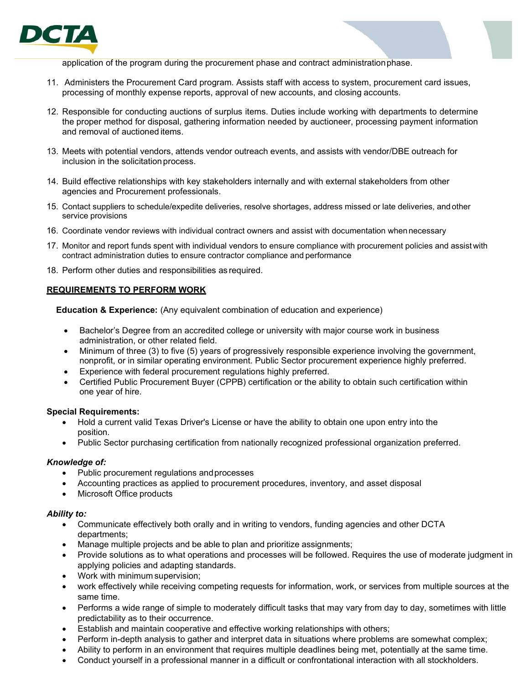

application of the program during the procurement phase and contract administrationphase.

- 11. Administers the Procurement Card program. Assists staff with access to system, procurement card issues, processing of monthly expense reports, approval of new accounts, and closing accounts.
- 12. Responsible for conducting auctions of surplus items. Duties include working with departments to determine the proper method for disposal, gathering information needed by auctioneer, processing payment information and removal of auctioned items.
- 13. Meets with potential vendors, attends vendor outreach events, and assists with vendor/DBE outreach for inclusion in the solicitation process.
- 14. Build effective relationships with key stakeholders internally and with external stakeholders from other agencies and Procurement professionals.
- 15. Contact suppliers to schedule/expedite deliveries, resolve shortages, address missed or late deliveries, and other service provisions
- 16. Coordinate vendor reviews with individual contract owners and assist with documentation whennecessary
- 17. Monitor and report funds spent with individual vendors to ensure compliance with procurement policies and assist with contract administration duties to ensure contractor compliance and performance
- 18. Perform other duties and responsibilities as required.

### **REQUIREMENTS TO PERFORM WORK**

**Education & Experience:** (Any equivalent combination of education and experience)

- Bachelor's Degree from an accredited college or university with major course work in business administration, or other related field.
- Minimum of three (3) to five (5) years of progressively responsible experience involving the government, nonprofit, or in similar operating environment. Public Sector procurement experience highly preferred.
- Experience with federal procurement regulations highly preferred.
- Certified Public Procurement Buyer (CPPB) certification or the ability to obtain such certification within one year of hire.

#### **Special Requirements:**

- Hold a current valid Texas Driver's License or have the ability to obtain one upon entry into the position.
- Public Sector purchasing certification from nationally recognized professional organization preferred.

## *Knowledge of:*

- Public procurement regulations and processes
- Accounting practices as applied to procurement procedures, inventory, and asset disposal
- Microsoft Office products

#### *Ability to:*

- Communicate effectively both orally and in writing to vendors, funding agencies and other DCTA departments;
- Manage multiple projects and be able to plan and prioritize assignments;
- Provide solutions as to what operations and processes will be followed. Requires the use of moderate judgment in applying policies and adapting standards.
- Work with minimum supervision;
- work effectively while receiving competing requests for information, work, or services from multiple sources at the same time.
- Performs a wide range of simple to moderately difficult tasks that may vary from day to day, sometimes with little predictability as to their occurrence.
- Establish and maintain cooperative and effective working relationships with others;
- Perform in-depth analysis to gather and interpret data in situations where problems are somewhat complex;
- Ability to perform in an environment that requires multiple deadlines being met, potentially at the same time.
- Conduct yourself in a professional manner in a difficult or confrontational interaction with all stockholders.